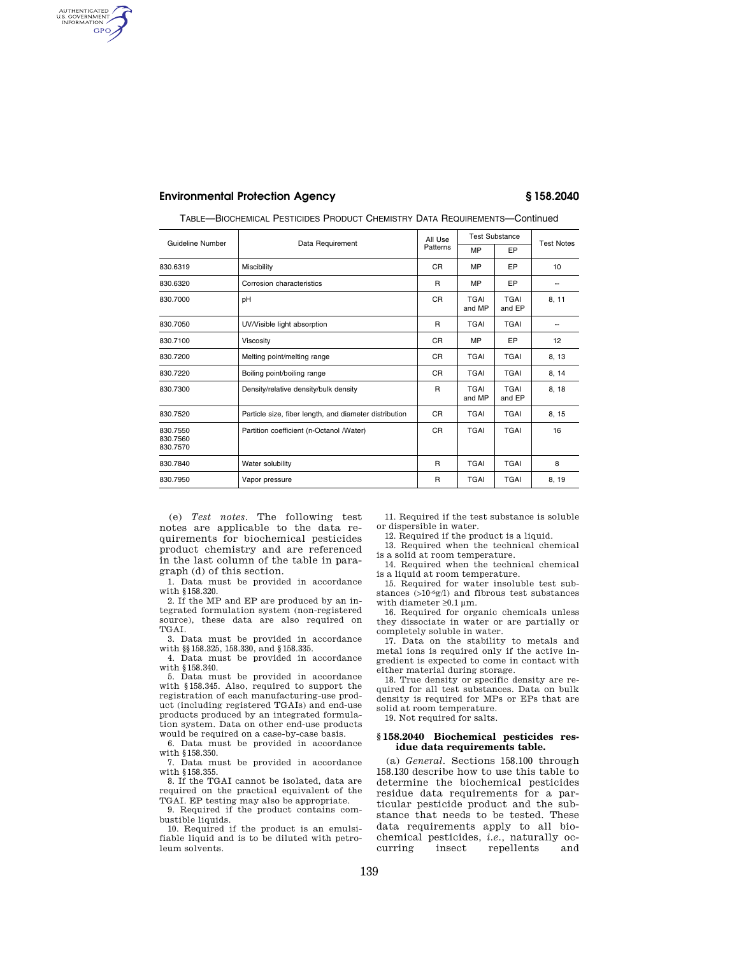**Environmental Protection Agency § 158.2040** 

AUTHENTICATED<br>U.S. GOVERNMENT<br>INFORMATION **GPO** 

| Guideline Number                 |                                                        | All Use        | <b>Test Substance</b> |                       |                   |
|----------------------------------|--------------------------------------------------------|----------------|-----------------------|-----------------------|-------------------|
|                                  | Data Requirement                                       | Patterns       | MP                    | EP                    | <b>Test Notes</b> |
| 830.6319                         | Miscibility                                            | CR.            | MP                    | EP                    | 10                |
| 830.6320                         | Corrosion characteristics                              | R              | MP                    | EP                    | --                |
| 830.7000                         | рH                                                     | <b>CR</b>      | <b>TGAI</b><br>and MP | <b>TGAI</b><br>and EP | 8, 11             |
| 830.7050                         | UV/Visible light absorption                            | R.             | <b>TGAI</b>           | <b>TGAI</b>           | --                |
| 830.7100                         | Viscosity                                              | <b>CR</b>      | MP                    | EP                    | 12                |
| 830.7200                         | Melting point/melting range                            | CR.            | <b>TGAI</b>           | <b>TGAI</b>           | 8, 13             |
| 830.7220                         | Boiling point/boiling range                            | C <sub>R</sub> | <b>TGAI</b>           | <b>TGAI</b>           | 8, 14             |
| 830.7300                         | Density/relative density/bulk density                  |                | <b>TGAI</b><br>and MP | <b>TGAI</b><br>and EP | 8, 18             |
| 830.7520                         | Particle size, fiber length, and diameter distribution | <b>CR</b>      | <b>TGAI</b>           | <b>TGAI</b>           | 8, 15             |
| 830.7550<br>830.7560<br>830.7570 | Partition coefficient (n-Octanol /Water)               | C <sub>R</sub> | <b>TGAI</b>           | <b>TGAI</b>           | 16                |
| 830.7840                         | Water solubility                                       | R              | <b>TGAI</b>           | <b>TGAI</b>           | 8                 |
| 830.7950                         | Vapor pressure                                         | R              | <b>TGAI</b>           | <b>TGAI</b>           | 8, 19             |

TABLE—BIOCHEMICAL PESTICIDES PRODUCT CHEMISTRY DATA REQUIREMENTS—Continued

(e) *Test notes*. The following test notes are applicable to the data requirements for biochemical pesticides product chemistry and are referenced in the last column of the table in paragraph (d) of this section.

1. Data must be provided in accordance with §158.320.

2. If the MP and EP are produced by an integrated formulation system (non-registered source), these data are also required on TGAI.

3. Data must be provided in accordance with §§158.325, 158.330, and §158.335.

4. Data must be provided in accordance with §158.340.

5. Data must be provided in accordance with §158.345. Also, required to support the registration of each manufacturing-use product (including registered TGAIs) and end-use products produced by an integrated formulation system. Data on other end-use products would be required on a case-by-case basis.

6. Data must be provided in accordance with §158.350.

7. Data must be provided in accordance with §158.355.

8. If the TGAI cannot be isolated, data are required on the practical equivalent of the TGAI. EP testing may also be appropriate.

9. Required if the product contains combustible liquids.

10. Required if the product is an emulsifiable liquid and is to be diluted with petroleum solvents.

11. Required if the test substance is soluble or dispersible in water.

12. Required if the product is a liquid.

13. Required when the technical chemical is a solid at room temperature.

14. Required when the technical chemical is a liquid at room temperature.

15. Required for water insoluble test substances (>10-6g/l) and fibrous test substances with diameter  $\geq 0.1 \,\mu m$ .

16. Required for organic chemicals unless they dissociate in water or are partially or completely soluble in water.

17. Data on the stability to metals and metal ions is required only if the active ingredient is expected to come in contact with either material during storage.

18. True density or specific density are required for all test substances. Data on bulk density is required for MPs or EPs that are solid at room temperature.

19. Not required for salts.

### **§ 158.2040 Biochemical pesticides residue data requirements table.**

(a) *General*. Sections 158.100 through 158.130 describe how to use this table to determine the biochemical pesticides residue data requirements for a particular pesticide product and the substance that needs to be tested. These data requirements apply to all biochemical pesticides, *i.e.*, naturally ocrepellents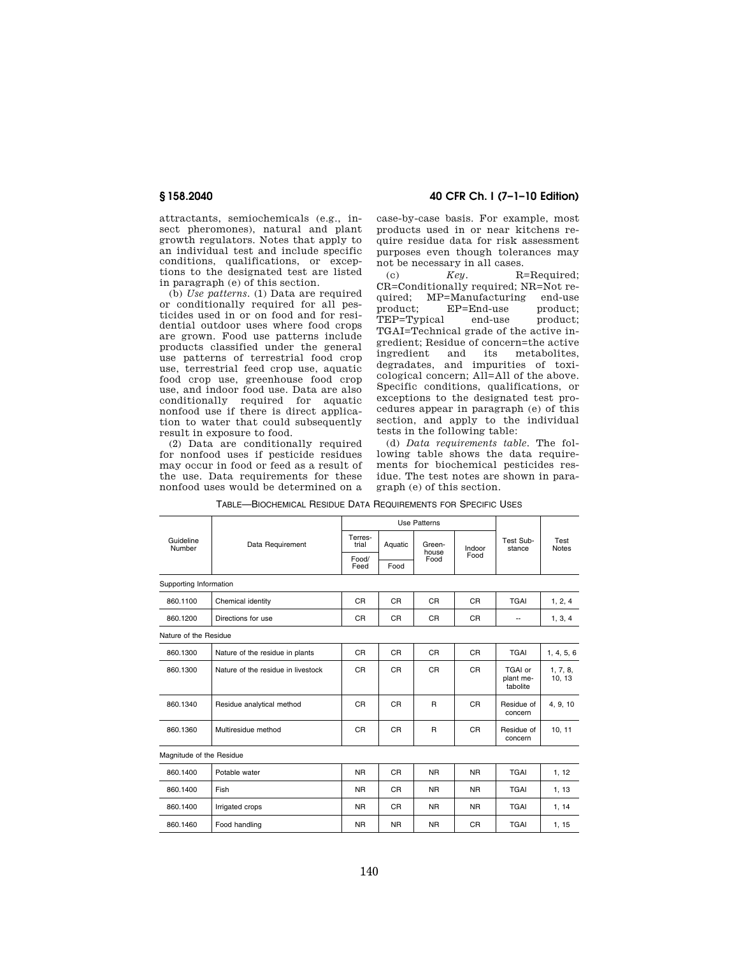attractants, semiochemicals (e.g., insect pheromones), natural and plant growth regulators. Notes that apply to an individual test and include specific conditions, qualifications, or exceptions to the designated test are listed in paragraph (e) of this section.

(b) *Use patterns*. (1) Data are required or conditionally required for all pesticides used in or on food and for residential outdoor uses where food crops are grown. Food use patterns include products classified under the general use patterns of terrestrial food crop use, terrestrial feed crop use, aquatic food crop use, greenhouse food crop use, and indoor food use. Data are also conditionally required for aquatic nonfood use if there is direct application to water that could subsequently result in exposure to food.

(2) Data are conditionally required for nonfood uses if pesticide residues may occur in food or feed as a result of the use. Data requirements for these nonfood uses would be determined on a

**§ 158.2040 40 CFR Ch. I (7–1–10 Edition)** 

case-by-case basis. For example, most products used in or near kitchens require residue data for risk assessment purposes even though tolerances may not be necessary in all cases.

(c)  $Key.$  R=Required; CR=Conditionally required; NR=Not required; MP=Manufacturing end-use<br>product; EP=End-use product; product; EP=End-use product; TEP=Typical end-use TGAI=Technical grade of the active ingredient; Residue of concern=the active ingredient and its metabolites, degradates, and impurities of toxicological concern; All=All of the above. Specific conditions, qualifications, or exceptions to the designated test procedures appear in paragraph (e) of this section, and apply to the individual tests in the following table:

(d) *Data requirements table*. The following table shows the data requirements for biochemical pesticides residue. The test notes are shown in paragraph (e) of this section.

|                          | Data Requirement                   | <b>Use Patterns</b> |                |                         |                |                                  |                      |
|--------------------------|------------------------------------|---------------------|----------------|-------------------------|----------------|----------------------------------|----------------------|
| Guideline<br>Number      |                                    | Terres-<br>trial    | Aquatic        | Green-<br>house<br>Food | Indoor<br>Food | Test Sub-<br>stance              | Test<br><b>Notes</b> |
|                          |                                    | Food/<br>Feed       | Food           |                         |                |                                  |                      |
| Supporting Information   |                                    |                     |                |                         |                |                                  |                      |
| 860.1100                 | Chemical identity                  | <b>CR</b>           | <b>CR</b>      | <b>CR</b>               | CR             | <b>TGAI</b>                      | 1, 2, 4              |
| 860.1200                 | Directions for use                 | <b>CR</b>           | <b>CR</b>      | <b>CR</b>               | CR             | --                               | 1, 3, 4              |
| Nature of the Residue    |                                    |                     |                |                         |                |                                  |                      |
| 860.1300                 | Nature of the residue in plants    | C <sub>R</sub>      | C <sub>R</sub> | <b>CR</b>               | C <sub>R</sub> | <b>TGAI</b>                      | 1, 4, 5, 6           |
| 860.1300                 | Nature of the residue in livestock | C <sub>R</sub>      | <b>CR</b>      | <b>CR</b>               | C <sub>R</sub> | TGAI or<br>plant me-<br>tabolite | 1, 7, 8,<br>10, 13   |
| 860.1340                 | Residue analytical method          | C <sub>R</sub>      | <b>CR</b>      | $\mathsf{R}$            | CR             | Residue of<br>concern            | 4, 9, 10             |
| 860.1360                 | Multiresidue method                | <b>CR</b>           | <b>CR</b>      | $\mathsf{R}$            | <b>CR</b>      | Residue of<br>concern            | 10, 11               |
| Magnitude of the Residue |                                    |                     |                |                         |                |                                  |                      |
| 860.1400                 | Potable water                      | <b>NR</b>           | <b>CR</b>      | <b>NR</b>               | <b>NR</b>      | <b>TGAI</b>                      | 1, 12                |
| 860.1400                 | Fish                               | <b>NR</b>           | <b>CR</b>      | <b>NR</b>               | <b>NR</b>      | <b>TGAI</b>                      | 1, 13                |
| 860.1400                 | Irrigated crops                    | <b>NR</b>           | <b>CR</b>      | <b>NR</b>               | N <sub>R</sub> | <b>TGAI</b>                      | 1, 14                |
| 860.1460                 | Food handling                      | <b>NR</b>           | <b>NR</b>      | <b>NR</b>               | <b>CR</b>      | <b>TGAI</b>                      | 1, 15                |
|                          |                                    |                     |                |                         |                |                                  |                      |

TABLE—BIOCHEMICAL RESIDUE DATA REQUIREMENTS FOR SPECIFIC USES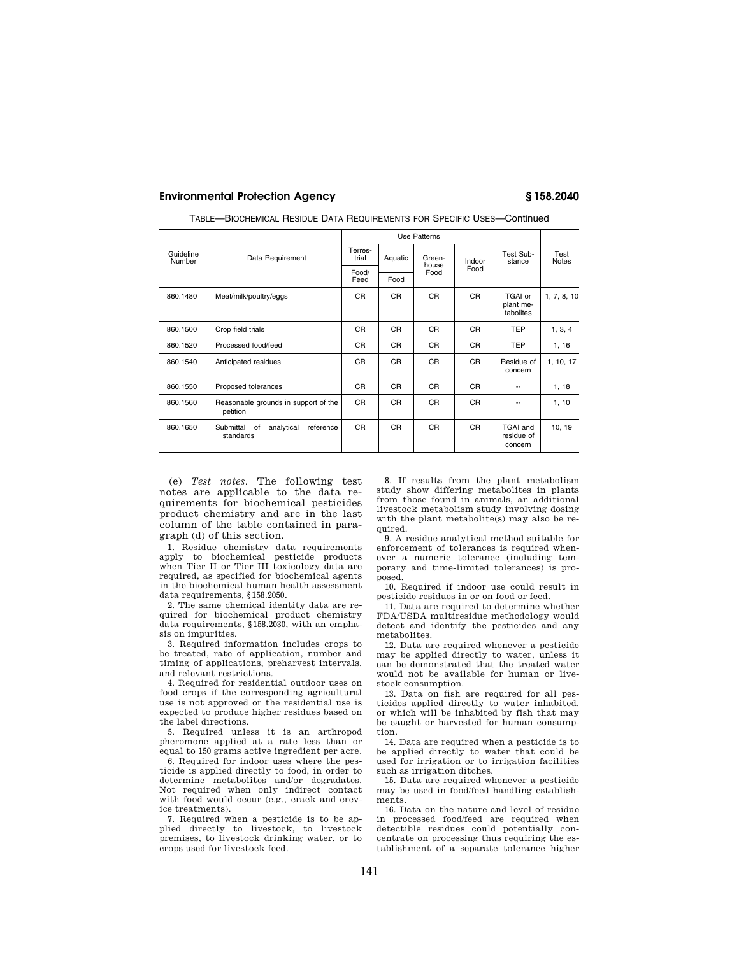## **Environmental Protection Agency § 158.2040**

|                     | Data Requirement                                        | <b>Use Patterns</b> |         |                         |                |                                          |                      |
|---------------------|---------------------------------------------------------|---------------------|---------|-------------------------|----------------|------------------------------------------|----------------------|
| Guideline<br>Number |                                                         | Terres-<br>trial    | Aquatic | Green-<br>house<br>Food | Indoor<br>Food | Test Sub-<br>stance                      | Test<br><b>Notes</b> |
|                     |                                                         | Food/<br>Feed       | Food    |                         |                |                                          |                      |
|                     |                                                         |                     |         |                         |                |                                          |                      |
| 860.1480            | Meat/milk/poultry/eggs                                  | CR.                 | CR.     | CR                      | CR.            | TGAI or<br>plant me-<br>tabolites        | 1, 7, 8, 10          |
| 860.1500            | Crop field trials                                       | CR.                 | CR.     | <b>CR</b>               | CR.            | <b>TEP</b>                               | 1, 3, 4              |
| 860.1520            | Processed food/feed                                     | CR.                 | CR.     | CR.                     | CR.            | <b>TEP</b>                               | 1, 16                |
| 860.1540            | Anticipated residues                                    | CR.                 | CR.     | CR                      | CR.            | Residue of<br>concern                    | 1, 10, 17            |
| 860.1550            | Proposed tolerances                                     | CR.                 | CR.     | CR                      | CR.            |                                          | 1, 18                |
| 860.1560            | Reasonable grounds in support of the<br>petition        | CR.                 | CR.     | <b>CR</b>               | CR.            |                                          | 1, 10                |
| 860.1650            | Submittal<br>analytical<br>reference<br>of<br>standards | CR.                 | CR.     | C <sub>R</sub>          | C <sub>R</sub> | <b>TGAI and</b><br>residue of<br>concern | 10, 19               |

TABLE—BIOCHEMICAL RESIDUE DATA REQUIREMENTS FOR SPECIFIC USES—Continued

(e) *Test notes*. The following test notes are applicable to the data requirements for biochemical pesticides product chemistry and are in the last column of the table contained in paragraph (d) of this section.

1. Residue chemistry data requirements apply to biochemical pesticide products when Tier II or Tier III toxicology data are required, as specified for biochemical agents in the biochemical human health assessment data requirements, §158.2050.

2. The same chemical identity data are required for biochemical product chemistry data requirements, §158.2030, with an emphasis on impurities.

3. Required information includes crops to be treated, rate of application, number and timing of applications, preharvest intervals, and relevant restrictions.

4. Required for residential outdoor uses on food crops if the corresponding agricultural use is not approved or the residential use is expected to produce higher residues based on the label directions.

5. Required unless it is an arthropod pheromone applied at a rate less than or equal to 150 grams active ingredient per acre.

6. Required for indoor uses where the pesticide is applied directly to food, in order to determine metabolites and/or degradates. Not required when only indirect contact with food would occur (e.g., crack and crevice treatments).

7. Required when a pesticide is to be applied directly to livestock, to livestock premises, to livestock drinking water, or to crops used for livestock feed.

8. If results from the plant metabolism study show differing metabolites in plants from those found in animals, an additional livestock metabolism study involving dosing with the plant metabolite(s) may also be required.

9. A residue analytical method suitable for enforcement of tolerances is required whenever a numeric tolerance (including temporary and time-limited tolerances) is proposed.

10. Required if indoor use could result in pesticide residues in or on food or feed.

11. Data are required to determine whether FDA/USDA multiresidue methodology would detect and identify the pesticides and any metabolites.

12. Data are required whenever a pesticide may be applied directly to water, unless it can be demonstrated that the treated water would not be available for human or livestock consumption.

13. Data on fish are required for all pesticides applied directly to water inhabited, or which will be inhabited by fish that may be caught or harvested for human consumption.

14. Data are required when a pesticide is to be applied directly to water that could be used for irrigation or to irrigation facilities such as irrigation ditches.

15. Data are required whenever a pesticide may be used in food/feed handling establishments.

16. Data on the nature and level of residue in processed food/feed are required when detectible residues could potentially concentrate on processing thus requiring the establishment of a separate tolerance higher